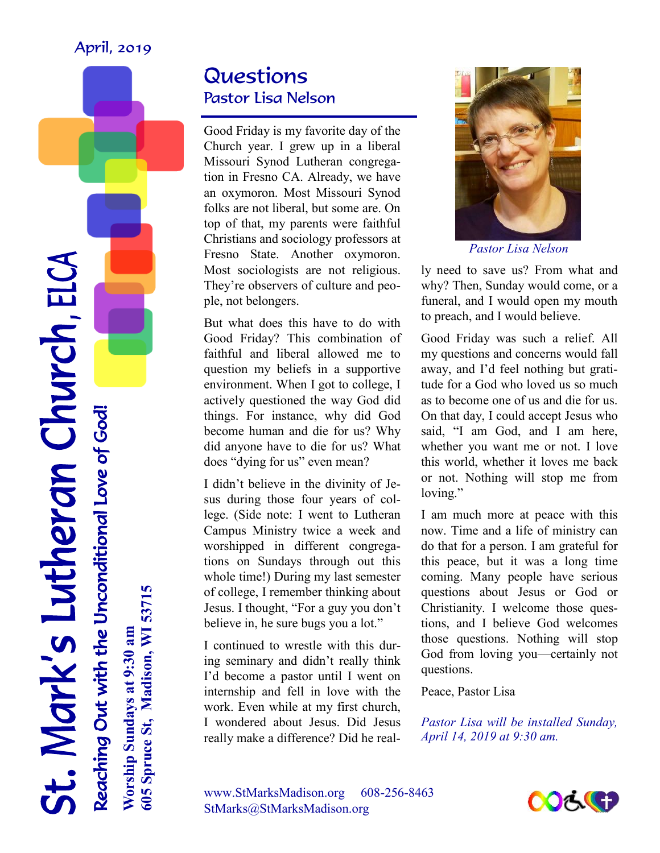#### April, 2019

Questions Pastor Lisa Nelson

Good Friday is my favorite day of the Church year. I grew up in a liberal Missouri Synod Lutheran congregation in Fresno CA. Already, we have an oxymoron. Most Missouri Synod folks are not liberal, but some are. On top of that, my parents were faithful Christians and sociology professors at Fresno State. Another oxymoron. Most sociologists are not religious. They're observers of culture and people, not belongers.

But what does this have to do with Good Friday? This combination of faithful and liberal allowed me to question my beliefs in a supportive environment. When I got to college, I actively questioned the way God did things. For instance, why did God become human and die for us? Why did anyone have to die for us? What does "dying for us" even mean?

I didn't believe in the divinity of Jesus during those four years of college. (Side note: I went to Lutheran Campus Ministry twice a week and worshipped in different congregations on Sundays through out this whole time!) During my last semester of college, I remember thinking about Jesus. I thought, "For a guy you don't believe in, he sure bugs you a lot."

I continued to wrestle with this during seminary and didn't really think I'd become a pastor until I went on internship and fell in love with the work. Even while at my first church, I wondered about Jesus. Did Jesus really make a difference? Did he real-



*Pastor Lisa Nelson* 

ly need to save us? From what and why? Then, Sunday would come, or a funeral, and I would open my mouth to preach, and I would believe.

Good Friday was such a relief. All my questions and concerns would fall away, and I'd feel nothing but gratitude for a God who loved us so much as to become one of us and die for us. On that day, I could accept Jesus who said, "I am God, and I am here, whether you want me or not. I love this world, whether it loves me back or not. Nothing will stop me from loving."

I am much more at peace with this now. Time and a life of ministry can do that for a person. I am grateful for this peace, but it was a long time coming. Many people have serious questions about Jesus or God or Christianity. I welcome those questions, and I believe God welcomes those questions. Nothing will stop God from loving you—certainly not questions.

Peace, Pastor Lisa

*Pastor Lisa will be installed Sunday, April 14, 2019 at 9:30 am.* 

www.StMarksMadison.org 608-256-8463 StMarks@StMarksMadison.org



Reaching Out with the Unconditional Love of God! **Worship Sundays at 9:30 am** Reaching Out with the Unconditional Love of God!

St. Mark's Lutheran Church, ELCA

605 Spruce St, Madison, WI 53715 **605 Spruce St, Madison, WI 53715** Worship Sundays at 9:30 am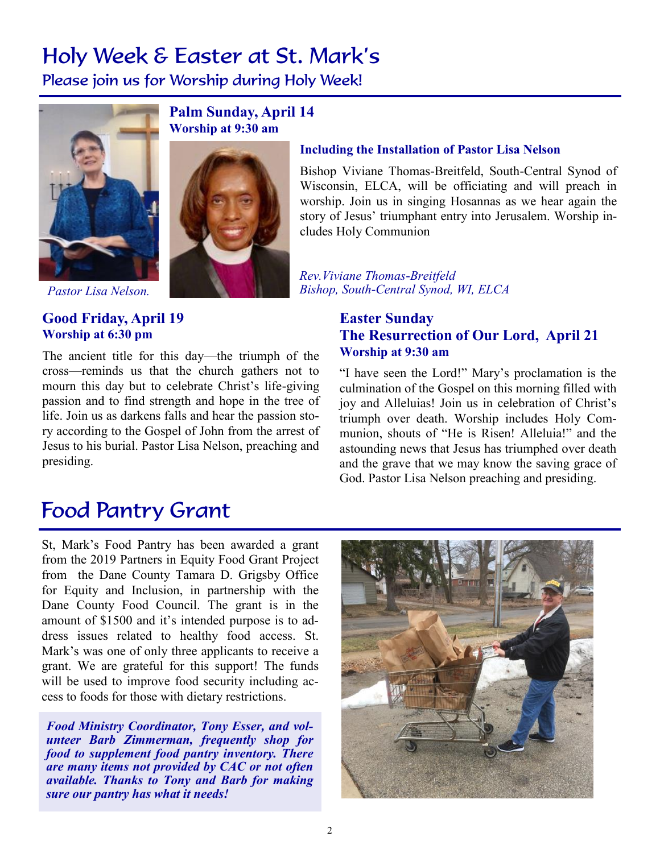### Holy Week & Easter at St. Mark's

Please join us for Worship during Holy Week!



**Palm Sunday, April 14 Worship at 9:30 am**



*Pastor Lisa Nelson.* 

#### **Good Friday, April 19 Worship at 6:30 pm**

The ancient title for this day—the triumph of the cross—reminds us that the church gathers not to mourn this day but to celebrate Christ's life-giving passion and to find strength and hope in the tree of life. Join us as darkens falls and hear the passion story according to the Gospel of John from the arrest of Jesus to his burial. Pastor Lisa Nelson, preaching and presiding.

#### **Including the Installation of Pastor Lisa Nelson**

Bishop Viviane Thomas-Breitfeld, South-Central Synod of Wisconsin, ELCA, will be officiating and will preach in worship. Join us in singing Hosannas as we hear again the story of Jesus' triumphant entry into Jerusalem. Worship includes Holy Communion

*Rev.Viviane Thomas-Breitfeld Bishop, South-Central Synod, WI, ELCA*

#### **Easter Sunday The Resurrection of Our Lord, April 21 Worship at 9:30 am**

"I have seen the Lord!" Mary's proclamation is the culmination of the Gospel on this morning filled with joy and Alleluias! Join us in celebration of Christ's triumph over death. Worship includes Holy Communion, shouts of "He is Risen! Alleluia!" and the astounding news that Jesus has triumphed over death and the grave that we may know the saving grace of God. Pastor Lisa Nelson preaching and presiding.

### Food Pantry Grant

St, Mark's Food Pantry has been awarded a grant from the 2019 Partners in Equity Food Grant Project from the Dane County Tamara D. Grigsby Office for Equity and Inclusion, in partnership with the Dane County Food Council. The grant is in the amount of \$1500 and it's intended purpose is to address issues related to healthy food access. St. Mark's was one of only three applicants to receive a grant. We are grateful for this support! The funds will be used to improve food security including access to foods for those with dietary restrictions.

*Food Ministry Coordinator, Tony Esser, and volunteer Barb Zimmerman, frequently shop for food to supplement food pantry inventory. There are many items not provided by CAC or not often available. Thanks to Tony and Barb for making sure our pantry has what it needs!*

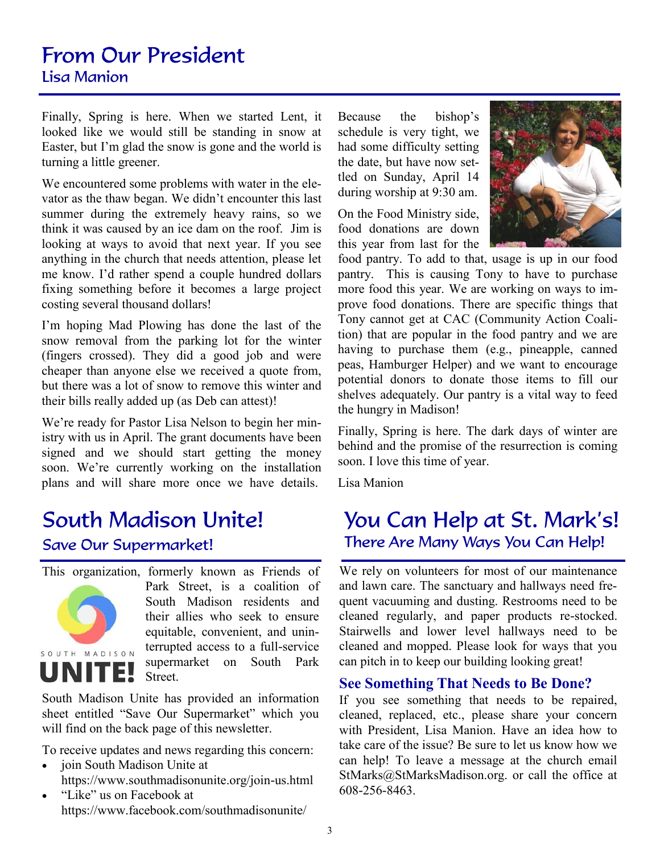### From Our President Lisa Manion

Finally, Spring is here. When we started Lent, it looked like we would still be standing in snow at Easter, but I'm glad the snow is gone and the world is turning a little greener.

We encountered some problems with water in the elevator as the thaw began. We didn't encounter this last summer during the extremely heavy rains, so we think it was caused by an ice dam on the roof. Jim is looking at ways to avoid that next year. If you see anything in the church that needs attention, please let me know. I'd rather spend a couple hundred dollars fixing something before it becomes a large project costing several thousand dollars!

I'm hoping Mad Plowing has done the last of the snow removal from the parking lot for the winter (fingers crossed). They did a good job and were cheaper than anyone else we received a quote from, but there was a lot of snow to remove this winter and their bills really added up (as Deb can attest)!

We're ready for Pastor Lisa Nelson to begin her ministry with us in April. The grant documents have been signed and we should start getting the money soon. We're currently working on the installation plans and will share more once we have details.

### South Madison Unite!

#### Save Our Supermarket!

This organization, formerly known as Friends of



Park Street, is a coalition of South Madison residents and their allies who seek to ensure equitable, convenient, and uninterrupted access to a full-service supermarket on South Park Street.

South Madison Unite has provided an information sheet entitled "Save Our Supermarket" which you will find on the back page of this newsletter.

To receive updates and news regarding this concern:

- join South Madison Unite at https://www.southmadisonunite.org/join-us.html
- "Like" us on Facebook at https://www.facebook.com/southmadisonunite/

Because the bishop's schedule is very tight, we had some difficulty setting the date, but have now settled on Sunday, April 14 during worship at 9:30 am.

On the Food Ministry side, food donations are down this year from last for the



food pantry. To add to that, usage is up in our food pantry. This is causing Tony to have to purchase more food this year. We are working on ways to improve food donations. There are specific things that Tony cannot get at CAC (Community Action Coalition) that are popular in the food pantry and we are having to purchase them (e.g., pineapple, canned peas, Hamburger Helper) and we want to encourage potential donors to donate those items to fill our shelves adequately. Our pantry is a vital way to feed the hungry in Madison!

Finally, Spring is here. The dark days of winter are behind and the promise of the resurrection is coming soon. I love this time of year.

Lisa Manion

### You Can Help at St. Mark's! There Are Many Ways You Can Help!

We rely on volunteers for most of our maintenance and lawn care. The sanctuary and hallways need frequent vacuuming and dusting. Restrooms need to be cleaned regularly, and paper products re-stocked. Stairwells and lower level hallways need to be cleaned and mopped. Please look for ways that you can pitch in to keep our building looking great!

#### **See Something That Needs to Be Done?**

If you see something that needs to be repaired, cleaned, replaced, etc., please share your concern with President, Lisa Manion. Have an idea how to take care of the issue? Be sure to let us know how we can help! To leave a message at the church email StMarks@StMarksMadison.org. or call the office at 608-256-8463.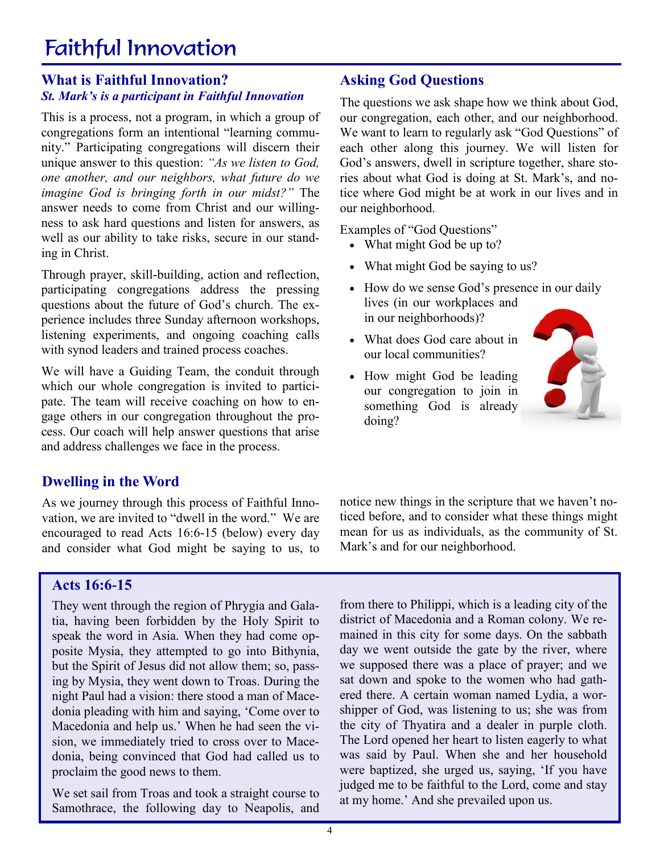### Faithful Innovation

#### **What is Faithful Innovation?** *St. Mark's is a participant in Faithful Innovation*

This is a process, not a program, in which a group of congregations form an intentional "learning community." Participating congregations will discern their unique answer to this question: *"As we listen to God, one another, and our neighbors, what future do we imagine God is bringing forth in our midst?"* The answer needs to come from Christ and our willingness to ask hard questions and listen for answers, as well as our ability to take risks, secure in our standing in Christ.

Through prayer, skill-building, action and reflection, participating congregations address the pressing questions about the future of God's church. The experience includes three Sunday afternoon workshops, listening experiments, and ongoing coaching calls with synod leaders and trained process coaches.

We will have a Guiding Team, the conduit through which our whole congregation is invited to participate. The team will receive coaching on how to engage others in our congregation throughout the process. Our coach will help answer questions that arise and address challenges we face in the process.

#### **Dwelling in the Word**

As we journey through this process of Faithful Innovation, we are invited to "dwell in the word." We are encouraged to read Acts 16:6-15 (below) every day and consider what God might be saying to us, to

#### **Asking God Questions**

The questions we ask shape how we think about God, our congregation, each other, and our neighborhood. We want to learn to regularly ask "God Questions" of each other along this journey. We will listen for God's answers, dwell in scripture together, share stories about what God is doing at St. Mark's, and notice where God might be at work in our lives and in our neighborhood.

Examples of "God Questions"

- What might God be up to?
- What might God be saying to us?
- How do we sense God's presence in our daily lives (in our workplaces and in our neighborhoods)?
- What does God care about in our local communities?
- How might God be leading our congregation to join in something God is already doing?



notice new things in the scripture that we haven't noticed before, and to consider what these things might mean for us as individuals, as the community of St. Mark's and for our neighborhood.

#### **Acts 16:6-15**

They went through the region of Phrygia and Galatia, having been forbidden by the Holy Spirit to speak the word in Asia. When they had come opposite Mysia, they attempted to go into Bithynia, but the Spirit of Jesus did not allow them; so, passing by Mysia, they went down to Troas. During the night Paul had a vision: there stood a man of Macedonia pleading with him and saying, 'Come over to Macedonia and help us.' When he had seen the vision, we immediately tried to cross over to Macedonia, being convinced that God had called us to proclaim the good news to them.

We set sail from Troas and took a straight course to Samothrace, the following day to Neapolis, and

from there to Philippi, which is a leading city of the district of Macedonia and a Roman colony. We remained in this city for some days. On the sabbath day we went outside the gate by the river, where we supposed there was a place of prayer; and we sat down and spoke to the women who had gathered there. A certain woman named Lydia, a worshipper of God, was listening to us; she was from the city of Thyatira and a dealer in purple cloth. The Lord opened her heart to listen eagerly to what was said by Paul. When she and her household were baptized, she urged us, saying, 'If you have judged me to be faithful to the Lord, come and stay at my home.' And she prevailed upon us.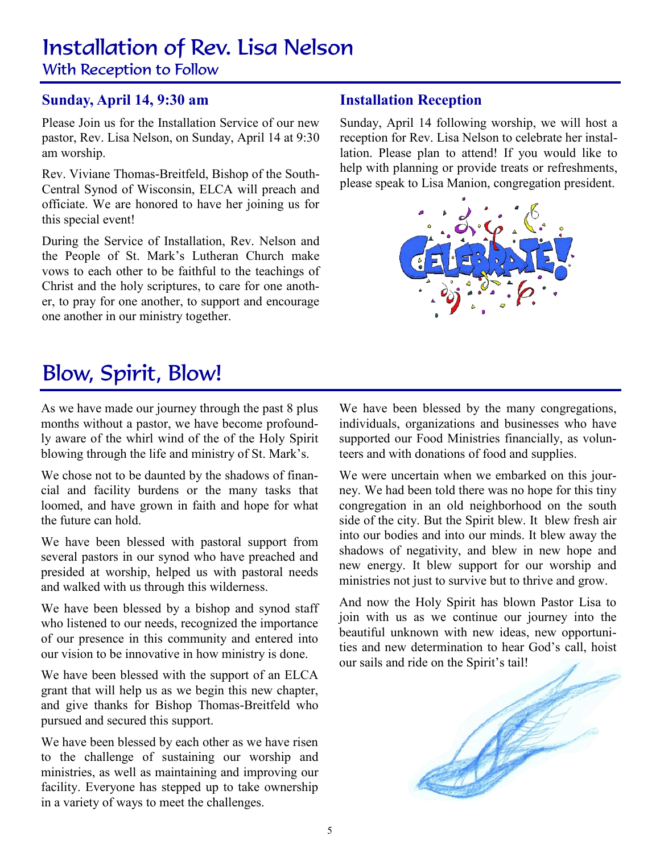# Installation of Rev. Lisa Nelson

With Reception to Follow

#### **Sunday, April 14, 9:30 am**

Please Join us for the Installation Service of our new pastor, Rev. Lisa Nelson, on Sunday, April 14 at 9:30 am worship.

Rev. Viviane Thomas-Breitfeld, Bishop of the South-Central Synod of Wisconsin, ELCA will preach and officiate. We are honored to have her joining us for this special event!

During the Service of Installation, Rev. Nelson and the People of St. Mark's Lutheran Church make vows to each other to be faithful to the teachings of Christ and the holy scriptures, to care for one another, to pray for one another, to support and encourage one another in our ministry together.

#### **Installation Reception**

Sunday, April 14 following worship, we will host a reception for Rev. Lisa Nelson to celebrate her installation. Please plan to attend! If you would like to help with planning or provide treats or refreshments, please speak to Lisa Manion, congregation president.



### Blow, Spirit, Blow!

As we have made our journey through the past 8 plus months without a pastor, we have become profoundly aware of the whirl wind of the of the Holy Spirit blowing through the life and ministry of St. Mark's.

We chose not to be daunted by the shadows of financial and facility burdens or the many tasks that loomed, and have grown in faith and hope for what the future can hold.

We have been blessed with pastoral support from several pastors in our synod who have preached and presided at worship, helped us with pastoral needs and walked with us through this wilderness.

We have been blessed by a bishop and synod staff who listened to our needs, recognized the importance of our presence in this community and entered into our vision to be innovative in how ministry is done.

We have been blessed with the support of an ELCA grant that will help us as we begin this new chapter, and give thanks for Bishop Thomas-Breitfeld who pursued and secured this support.

We have been blessed by each other as we have risen to the challenge of sustaining our worship and ministries, as well as maintaining and improving our facility. Everyone has stepped up to take ownership in a variety of ways to meet the challenges.

We have been blessed by the many congregations, individuals, organizations and businesses who have supported our Food Ministries financially, as volunteers and with donations of food and supplies.

We were uncertain when we embarked on this journey. We had been told there was no hope for this tiny congregation in an old neighborhood on the south side of the city. But the Spirit blew. It blew fresh air into our bodies and into our minds. It blew away the shadows of negativity, and blew in new hope and new energy. It blew support for our worship and ministries not just to survive but to thrive and grow.

And now the Holy Spirit has blown Pastor Lisa to join with us as we continue our journey into the beautiful unknown with new ideas, new opportunities and new determination to hear God's call, hoist our sails and ride on the Spirit's tail!